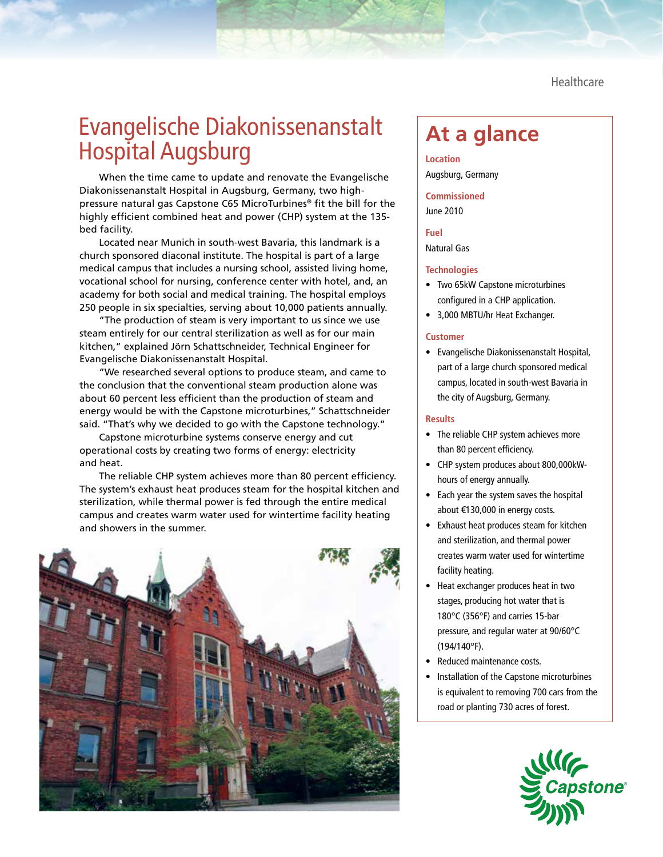**Healthcare** 

# Evangelische Diakonissenanstalt Evangelische Diakonissenanstalt At a glance<br>Hospital Augsburg

When the time came to update and renovate the Evangelische Diakonissenanstalt Hospital in Augsburg, Germany, two highpressure natural gas Capstone C65 MicroTurbines® fit the bill for the highly efficient combined heat and power (CHP) system at the 135 bed facility.

Located near Munich in south-west Bavaria, this landmark is a church sponsored diaconal institute. The hospital is part of a large medical campus that includes a nursing school, assisted living home, vocational school for nursing, conference center with hotel, and, an academy for both social and medical training. The hospital employs 250 people in six specialties, serving about 10,000 patients annually.

"The production of steam is very important to us since we use steam entirely for our central sterilization as well as for our main kitchen," explained Jörn Schattschneider, Technical Engineer for Evangelische Diakonissenanstalt Hospital.

"We researched several options to produce steam, and came to the conclusion that the conventional steam production alone was about 60 percent less efficient than the production of steam and energy would be with the Capstone microturbines," Schattschneider said. "That's why we decided to go with the Capstone technology."

Capstone microturbine systems conserve energy and cut operational costs by creating two forms of energy: electricity and heat.

The reliable CHP system achieves more than 80 percent efficiency. The system's exhaust heat produces steam for the hospital kitchen and sterilization, while thermal power is fed through the entire medical campus and creates warm water used for wintertime facility heating and showers in the summer.



**Location** Augsburg, Germany

**Commissioned** June 2010

**Fuel** Natural Gas

### **Technologies**

- Two 65kW Capstone microturbines configured in a CHP application.
- 3,000 MBTU/hr Heat Exchanger.

### **Customer**

• Evangelische Diakonissenanstalt Hospital, part of a large church sponsored medical campus, located in south-west Bavaria in the city of Augsburg, Germany.

### **Results**

- The reliable CHP system achieves more than 80 percent efficiency.
- CHP system produces about 800,000kWhours of energy annually.
- Each year the system saves the hospital about €130,000 in energy costs.
- Exhaust heat produces steam for kitchen and sterilization, and thermal power creates warm water used for wintertime facility heating.
- Heat exchanger produces heat in two stages, producing hot water that is 180°C (356°F) and carries 15-bar pressure, and regular water at 90/60°C (194/140°F).
- Reduced maintenance costs.
- Installation of the Capstone microturbines is equivalent to removing 700 cars from the road or planting 730 acres of forest.